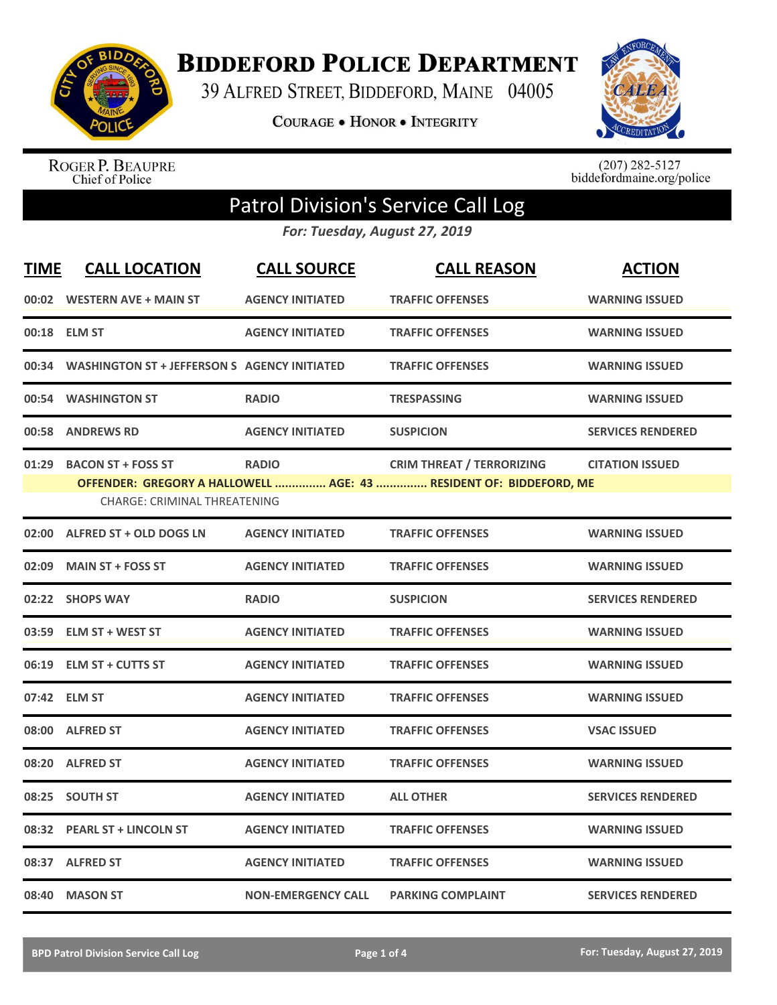

**BIDDEFORD POLICE DEPARTMENT** 

39 ALFRED STREET, BIDDEFORD, MAINE 04005

**COURAGE . HONOR . INTEGRITY** 



ROGER P. BEAUPRE<br>Chief of Police

 $(207)$  282-5127<br>biddefordmaine.org/police

## Patrol Division's Service Call Log

*For: Tuesday, August 27, 2019*

| <b>TIME</b> | <b>CALL LOCATION</b>                                      | <b>CALL SOURCE</b>        | <b>CALL REASON</b>                                                                                     | <b>ACTION</b>            |
|-------------|-----------------------------------------------------------|---------------------------|--------------------------------------------------------------------------------------------------------|--------------------------|
| 00:02       | WESTERN AVE + MAIN ST                                     | <b>AGENCY INITIATED</b>   | <b>TRAFFIC OFFENSES</b>                                                                                | <b>WARNING ISSUED</b>    |
|             | 00:18 ELM ST                                              | <b>AGENCY INITIATED</b>   | <b>TRAFFIC OFFENSES</b>                                                                                | <b>WARNING ISSUED</b>    |
| 00:34       | <b>WASHINGTON ST + JEFFERSON S AGENCY INITIATED</b>       |                           | <b>TRAFFIC OFFENSES</b>                                                                                | <b>WARNING ISSUED</b>    |
| 00:54       | <b>WASHINGTON ST</b>                                      | <b>RADIO</b>              | <b>TRESPASSING</b>                                                                                     | <b>WARNING ISSUED</b>    |
| 00:58       | <b>ANDREWS RD</b>                                         | <b>AGENCY INITIATED</b>   | <b>SUSPICION</b>                                                                                       | <b>SERVICES RENDERED</b> |
| 01:29       | <b>BACON ST + FOSS ST</b><br>CHARGE: CRIMINAL THREATENING | <b>RADIO</b>              | <b>CRIM THREAT / TERRORIZING</b><br>OFFENDER: GREGORY A HALLOWELL  AGE: 43  RESIDENT OF: BIDDEFORD, ME | <b>CITATION ISSUED</b>   |
|             | 02:00 ALFRED ST + OLD DOGS LN                             | <b>AGENCY INITIATED</b>   | <b>TRAFFIC OFFENSES</b>                                                                                | <b>WARNING ISSUED</b>    |
| 02:09       | <b>MAIN ST + FOSS ST</b>                                  | <b>AGENCY INITIATED</b>   | <b>TRAFFIC OFFENSES</b>                                                                                | <b>WARNING ISSUED</b>    |
|             | 02:22 SHOPS WAY                                           | <b>RADIO</b>              | <b>SUSPICION</b>                                                                                       | <b>SERVICES RENDERED</b> |
| 03:59       | <b>ELM ST + WEST ST</b>                                   | <b>AGENCY INITIATED</b>   | <b>TRAFFIC OFFENSES</b>                                                                                | <b>WARNING ISSUED</b>    |
|             | 06:19 ELM ST + CUTTS ST                                   | <b>AGENCY INITIATED</b>   | <b>TRAFFIC OFFENSES</b>                                                                                | <b>WARNING ISSUED</b>    |
|             | 07:42 ELM ST                                              | <b>AGENCY INITIATED</b>   | <b>TRAFFIC OFFENSES</b>                                                                                | <b>WARNING ISSUED</b>    |
|             | 08:00 ALFRED ST                                           | <b>AGENCY INITIATED</b>   | <b>TRAFFIC OFFENSES</b>                                                                                | <b>VSAC ISSUED</b>       |
| 08:20       | <b>ALFRED ST</b>                                          | <b>AGENCY INITIATED</b>   | <b>TRAFFIC OFFENSES</b>                                                                                | <b>WARNING ISSUED</b>    |
| 08:25       | <b>SOUTH ST</b>                                           | <b>AGENCY INITIATED</b>   | <b>ALL OTHER</b>                                                                                       | <b>SERVICES RENDERED</b> |
|             | 08:32 PEARL ST + LINCOLN ST                               | <b>AGENCY INITIATED</b>   | <b>TRAFFIC OFFENSES</b>                                                                                | <b>WARNING ISSUED</b>    |
| 08:37       | <b>ALFRED ST</b>                                          | <b>AGENCY INITIATED</b>   | <b>TRAFFIC OFFENSES</b>                                                                                | <b>WARNING ISSUED</b>    |
| 08:40       | <b>MASON ST</b>                                           | <b>NON-EMERGENCY CALL</b> | <b>PARKING COMPLAINT</b>                                                                               | <b>SERVICES RENDERED</b> |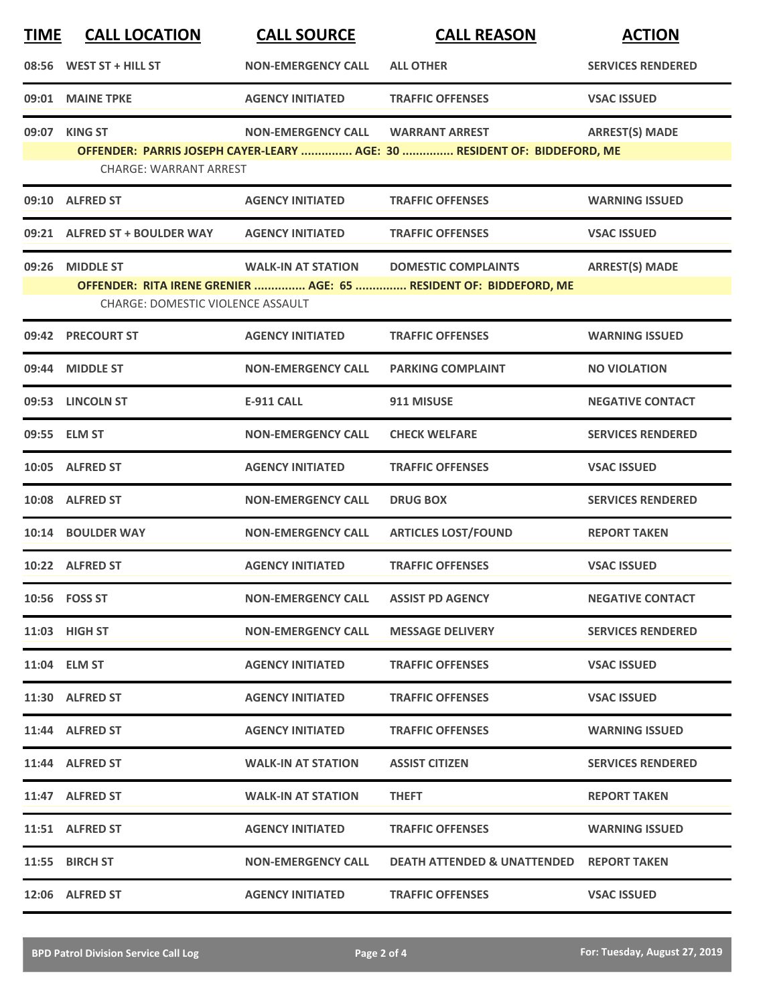| <b>TIME</b> | <b>CALL LOCATION</b>              | <b>CALL SOURCE</b>        | <b>CALL REASON</b>                                                       | <b>ACTION</b>            |
|-------------|-----------------------------------|---------------------------|--------------------------------------------------------------------------|--------------------------|
|             | 08:56 WEST ST + HILL ST           | <b>NON-EMERGENCY CALL</b> | <b>ALL OTHER</b>                                                         | <b>SERVICES RENDERED</b> |
|             | 09:01 MAINE TPKE                  | <b>AGENCY INITIATED</b>   | <b>TRAFFIC OFFENSES</b>                                                  | <b>VSAC ISSUED</b>       |
|             | 09:07 KING ST                     | <b>NON-EMERGENCY CALL</b> | <b>WARRANT ARREST</b>                                                    | <b>ARREST(S) MADE</b>    |
|             | <b>CHARGE: WARRANT ARREST</b>     |                           | OFFENDER: PARRIS JOSEPH CAYER-LEARY  AGE: 30  RESIDENT OF: BIDDEFORD, ME |                          |
|             | 09:10 ALFRED ST                   | <b>AGENCY INITIATED</b>   | <b>TRAFFIC OFFENSES</b>                                                  | <b>WARNING ISSUED</b>    |
|             | 09:21 ALFRED ST + BOULDER WAY     | <b>AGENCY INITIATED</b>   | <b>TRAFFIC OFFENSES</b>                                                  | <b>VSAC ISSUED</b>       |
|             | 09:26 MIDDLE ST                   | <b>WALK-IN AT STATION</b> | <b>DOMESTIC COMPLAINTS</b>                                               | <b>ARREST(S) MADE</b>    |
|             | CHARGE: DOMESTIC VIOLENCE ASSAULT |                           | OFFENDER: RITA IRENE GRENIER  AGE: 65  RESIDENT OF: BIDDEFORD, ME        |                          |
|             | 09:42 PRECOURT ST                 | <b>AGENCY INITIATED</b>   | <b>TRAFFIC OFFENSES</b>                                                  | <b>WARNING ISSUED</b>    |
|             | 09:44 MIDDLE ST                   | <b>NON-EMERGENCY CALL</b> | <b>PARKING COMPLAINT</b>                                                 | <b>NO VIOLATION</b>      |
|             | 09:53 LINCOLN ST                  | <b>E-911 CALL</b>         | 911 MISUSE                                                               | <b>NEGATIVE CONTACT</b>  |
|             | 09:55 ELM ST                      | <b>NON-EMERGENCY CALL</b> | <b>CHECK WELFARE</b>                                                     | <b>SERVICES RENDERED</b> |
|             | 10:05 ALFRED ST                   | <b>AGENCY INITIATED</b>   | <b>TRAFFIC OFFENSES</b>                                                  | <b>VSAC ISSUED</b>       |
| 10:08       | <b>ALFRED ST</b>                  | <b>NON-EMERGENCY CALL</b> | <b>DRUG BOX</b>                                                          | <b>SERVICES RENDERED</b> |
|             | 10:14 BOULDER WAY                 | <b>NON-EMERGENCY CALL</b> | <b>ARTICLES LOST/FOUND</b>                                               | <b>REPORT TAKEN</b>      |
|             | 10:22 ALFRED ST                   | <b>AGENCY INITIATED</b>   | <b>TRAFFIC OFFENSES</b>                                                  | <b>VSAC ISSUED</b>       |
|             | 10:56    FOSS ST                  | <b>NON-EMERGENCY CALL</b> | <b>ASSIST PD AGENCY</b>                                                  | <b>NEGATIVE CONTACT</b>  |
|             | 11:03 HIGH ST                     | <b>NON-EMERGENCY CALL</b> | <b>MESSAGE DELIVERY</b>                                                  | <b>SERVICES RENDERED</b> |
|             | 11:04 ELM ST                      | <b>AGENCY INITIATED</b>   | <b>TRAFFIC OFFENSES</b>                                                  | <b>VSAC ISSUED</b>       |
|             | 11:30 ALFRED ST                   | <b>AGENCY INITIATED</b>   | <b>TRAFFIC OFFENSES</b>                                                  | <b>VSAC ISSUED</b>       |
|             | 11:44 ALFRED ST                   | <b>AGENCY INITIATED</b>   | <b>TRAFFIC OFFENSES</b>                                                  | <b>WARNING ISSUED</b>    |
|             | 11:44 ALFRED ST                   | <b>WALK-IN AT STATION</b> | <b>ASSIST CITIZEN</b>                                                    | <b>SERVICES RENDERED</b> |
|             | 11:47 ALFRED ST                   | <b>WALK-IN AT STATION</b> | <b>THEFT</b>                                                             | <b>REPORT TAKEN</b>      |
|             | 11:51 ALFRED ST                   | <b>AGENCY INITIATED</b>   | <b>TRAFFIC OFFENSES</b>                                                  | <b>WARNING ISSUED</b>    |
|             | 11:55 BIRCH ST                    | <b>NON-EMERGENCY CALL</b> | <b>DEATH ATTENDED &amp; UNATTENDED REPORT TAKEN</b>                      |                          |
|             | 12:06 ALFRED ST                   | <b>AGENCY INITIATED</b>   | <b>TRAFFIC OFFENSES</b>                                                  | <b>VSAC ISSUED</b>       |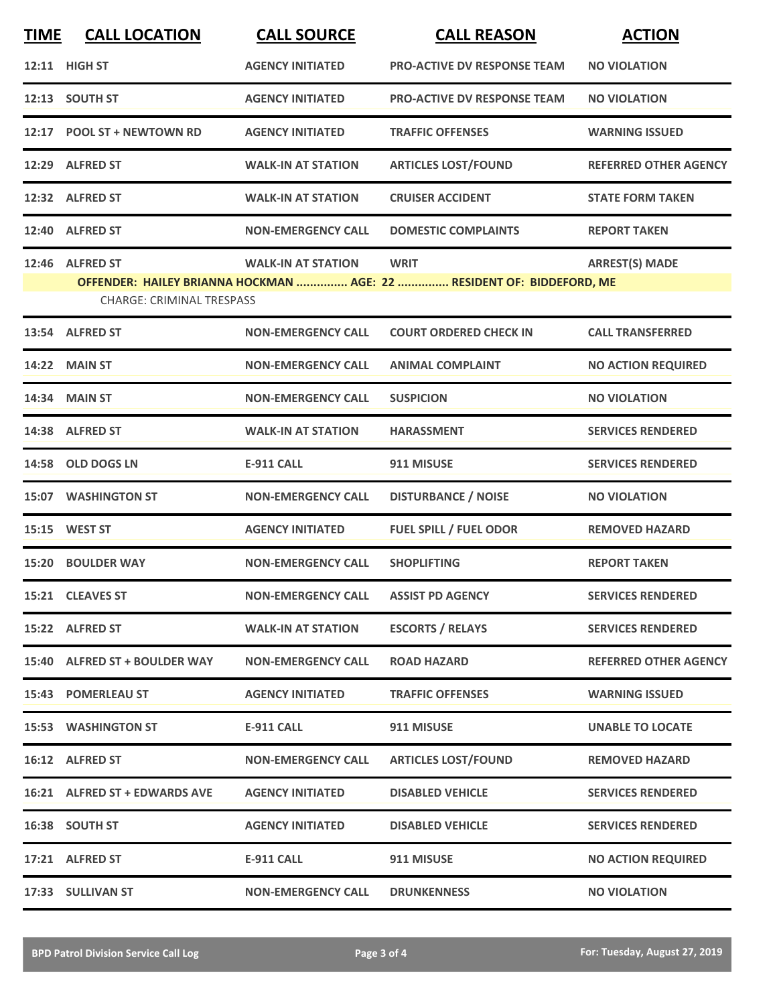| <b>TIME</b> | <b>CALL LOCATION</b>             | <b>CALL SOURCE</b>        | <b>CALL REASON</b>                                                    | <b>ACTION</b>                |
|-------------|----------------------------------|---------------------------|-----------------------------------------------------------------------|------------------------------|
|             | <b>12:11 HIGH ST</b>             | <b>AGENCY INITIATED</b>   | <b>PRO-ACTIVE DV RESPONSE TEAM</b>                                    | <b>NO VIOLATION</b>          |
|             | 12:13 SOUTH ST                   | <b>AGENCY INITIATED</b>   | <b>PRO-ACTIVE DV RESPONSE TEAM</b>                                    | <b>NO VIOLATION</b>          |
| 12:17       | <b>POOL ST + NEWTOWN RD</b>      | <b>AGENCY INITIATED</b>   | <b>TRAFFIC OFFENSES</b>                                               | <b>WARNING ISSUED</b>        |
|             | 12:29 ALFRED ST                  | <b>WALK-IN AT STATION</b> | <b>ARTICLES LOST/FOUND</b>                                            | <b>REFERRED OTHER AGENCY</b> |
|             | 12:32 ALFRED ST                  | <b>WALK-IN AT STATION</b> | <b>CRUISER ACCIDENT</b>                                               | <b>STATE FORM TAKEN</b>      |
|             | 12:40 ALFRED ST                  | <b>NON-EMERGENCY CALL</b> | <b>DOMESTIC COMPLAINTS</b>                                            | <b>REPORT TAKEN</b>          |
|             | 12:46 ALFRED ST                  | <b>WALK-IN AT STATION</b> | <b>WRIT</b>                                                           | <b>ARREST(S) MADE</b>        |
|             |                                  |                           | OFFENDER: HAILEY BRIANNA HOCKMAN  AGE: 22  RESIDENT OF: BIDDEFORD, ME |                              |
|             | <b>CHARGE: CRIMINAL TRESPASS</b> |                           |                                                                       |                              |
|             | 13:54 ALFRED ST                  | <b>NON-EMERGENCY CALL</b> | <b>COURT ORDERED CHECK IN</b>                                         | <b>CALL TRANSFERRED</b>      |
|             | 14:22 MAIN ST                    | <b>NON-EMERGENCY CALL</b> | <b>ANIMAL COMPLAINT</b>                                               | <b>NO ACTION REQUIRED</b>    |
|             | 14:34 MAIN ST                    | <b>NON-EMERGENCY CALL</b> | <b>SUSPICION</b>                                                      | <b>NO VIOLATION</b>          |
|             | 14:38 ALFRED ST                  | <b>WALK-IN AT STATION</b> | <b>HARASSMENT</b>                                                     | <b>SERVICES RENDERED</b>     |
|             | 14:58 OLD DOGS LN                | <b>E-911 CALL</b>         | 911 MISUSE                                                            | <b>SERVICES RENDERED</b>     |
|             | <b>15:07 WASHINGTON ST</b>       | <b>NON-EMERGENCY CALL</b> | <b>DISTURBANCE / NOISE</b>                                            | <b>NO VIOLATION</b>          |
|             | 15:15 WEST ST                    | <b>AGENCY INITIATED</b>   | <b>FUEL SPILL / FUEL ODOR</b>                                         | <b>REMOVED HAZARD</b>        |
|             | 15:20 BOULDER WAY                | <b>NON-EMERGENCY CALL</b> | <b>SHOPLIFTING</b>                                                    | <b>REPORT TAKEN</b>          |
|             | 15:21 CLEAVES ST                 | <b>NON-EMERGENCY CALL</b> | <b>ASSIST PD AGENCY</b>                                               | <b>SERVICES RENDERED</b>     |
|             | 15:22 ALFRED ST                  | <b>WALK-IN AT STATION</b> | <b>ESCORTS / RELAYS</b>                                               | <b>SERVICES RENDERED</b>     |
|             | 15:40 ALFRED ST + BOULDER WAY    | <b>NON-EMERGENCY CALL</b> | <b>ROAD HAZARD</b>                                                    | <b>REFERRED OTHER AGENCY</b> |
|             | 15:43 POMERLEAU ST               | <b>AGENCY INITIATED</b>   | <b>TRAFFIC OFFENSES</b>                                               | <b>WARNING ISSUED</b>        |
|             | <b>15:53 WASHINGTON ST</b>       | <b>E-911 CALL</b>         | 911 MISUSE                                                            | <b>UNABLE TO LOCATE</b>      |
|             | 16:12 ALFRED ST                  | <b>NON-EMERGENCY CALL</b> | <b>ARTICLES LOST/FOUND</b>                                            | <b>REMOVED HAZARD</b>        |
|             | 16:21 ALFRED ST + EDWARDS AVE    | <b>AGENCY INITIATED</b>   | <b>DISABLED VEHICLE</b>                                               | <b>SERVICES RENDERED</b>     |
|             | 16:38 SOUTH ST                   | <b>AGENCY INITIATED</b>   | <b>DISABLED VEHICLE</b>                                               | <b>SERVICES RENDERED</b>     |
|             | 17:21 ALFRED ST                  | <b>E-911 CALL</b>         | 911 MISUSE                                                            | <b>NO ACTION REQUIRED</b>    |
|             | 17:33 SULLIVAN ST                | <b>NON-EMERGENCY CALL</b> | <b>DRUNKENNESS</b>                                                    | <b>NO VIOLATION</b>          |